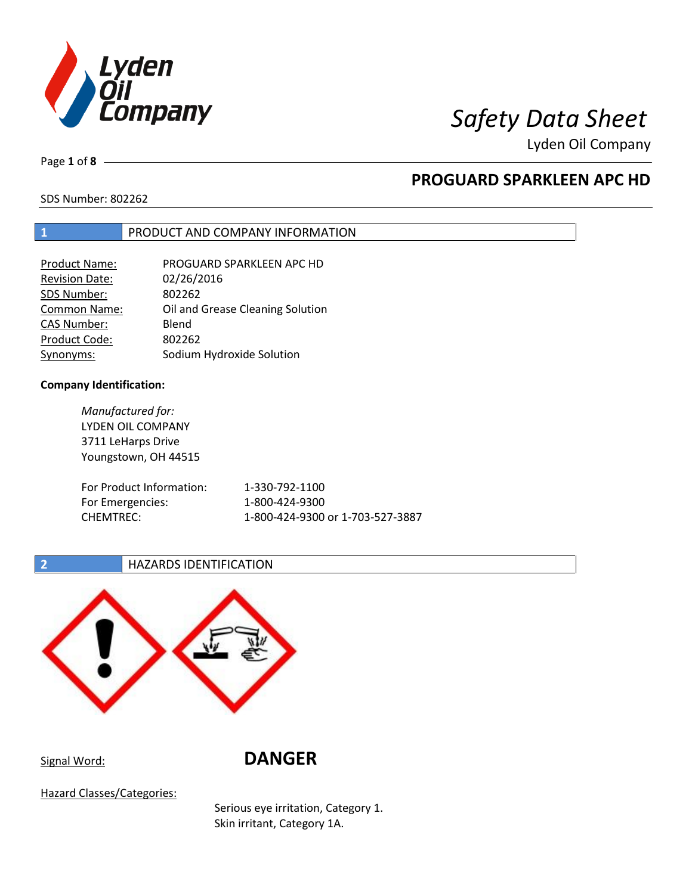

Lyden Oil Company

Page **1** of **8**

# **PROGUARD SPARKLEEN APC HD**

SDS Number: 802262

## **1** PRODUCT AND COMPANY INFORMATION

| <b>Product Name:</b>  | PROGUARD SPARKLEEN APC HD        |
|-----------------------|----------------------------------|
| <b>Revision Date:</b> | 02/26/2016                       |
| SDS Number:           | 802262                           |
| Common Name:          | Oil and Grease Cleaning Solution |
| <b>CAS Number:</b>    | Blend                            |
| Product Code:         | 802262                           |
| Synonyms:             | Sodium Hydroxide Solution        |

## **Company Identification:**

| Manufactured for:<br>LYDEN OIL COMPANY<br>3711 LeHarps Drive<br>Youngstown, OH 44515 |                                  |
|--------------------------------------------------------------------------------------|----------------------------------|
| For Product Information:                                                             | 1-330-792-1100                   |
| For Emergencies:                                                                     | 1-800-424-9300                   |
| <b>CHEMTREC:</b>                                                                     | 1-800-424-9300 or 1-703-527-3887 |

## **2 HAZARDS IDENTIFICATION**



Signal Word: **DANGER**

Hazard Classes/Categories:

Serious eye irritation, Category 1. Skin irritant, Category 1A.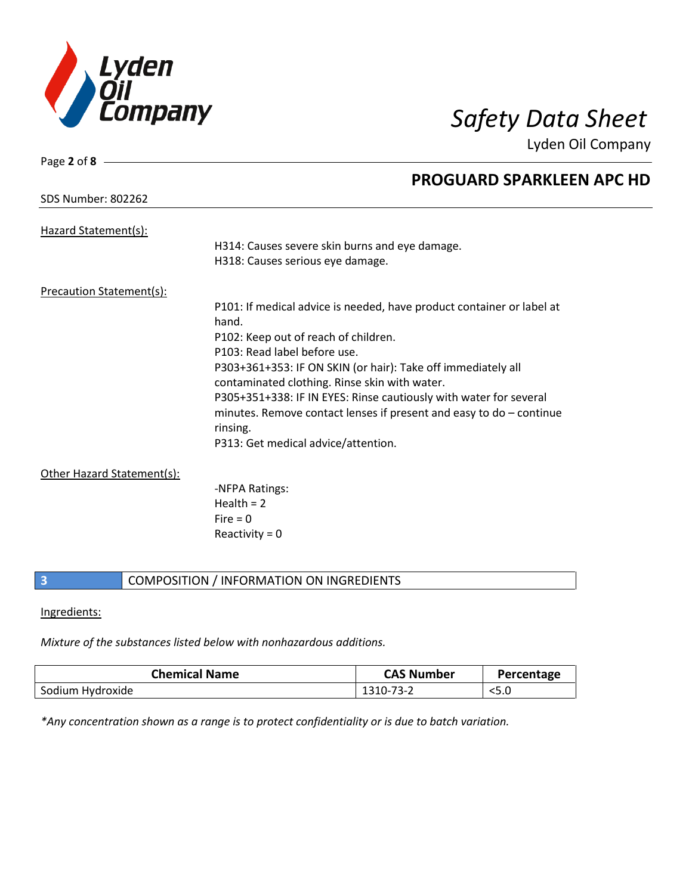

Lyden Oil Company

| SDS Number: 802262 |  |
|--------------------|--|
|                    |  |

Hazard Statement(s):

Page **2** of **8**

## **PROGUARD SPARKLEEN APC HD**

|                          | H314: Causes severe skin burns and eye damage.<br>H318: Causes serious eye damage.                                                                     |
|--------------------------|--------------------------------------------------------------------------------------------------------------------------------------------------------|
| Precaution Statement(s): |                                                                                                                                                        |
|                          | P101: If medical advice is needed, have product container or label at<br>hand.                                                                         |
|                          | P102: Keep out of reach of children.                                                                                                                   |
|                          | P103: Read label before use.                                                                                                                           |
|                          | P303+361+353: IF ON SKIN (or hair): Take off immediately all<br>contaminated clothing. Rinse skin with water.                                          |
|                          | P305+351+338: IF IN EYES: Rinse cautiously with water for several<br>minutes. Remove contact lenses if present and easy to $do$ – continue<br>rinsing. |
|                          | P313: Get medical advice/attention.                                                                                                                    |

## Other Hazard Statement(s):

-NFPA Ratings:  $Health = 2$  $Fire = 0$ Reactivity  $= 0$ 

## **3** COMPOSITION / INFORMATION ON INGREDIENTS

### Ingredients:

*Mixture of the substances listed below with nonhazardous additions.*

| <b>Chemical Name</b> | <b>CAS Number</b> | Percentage |
|----------------------|-------------------|------------|
| Sodium Hydroxide     | 1310-73-2         | $<$ 5.0    |

*\*Any concentration shown as a range is to protect confidentiality or is due to batch variation.*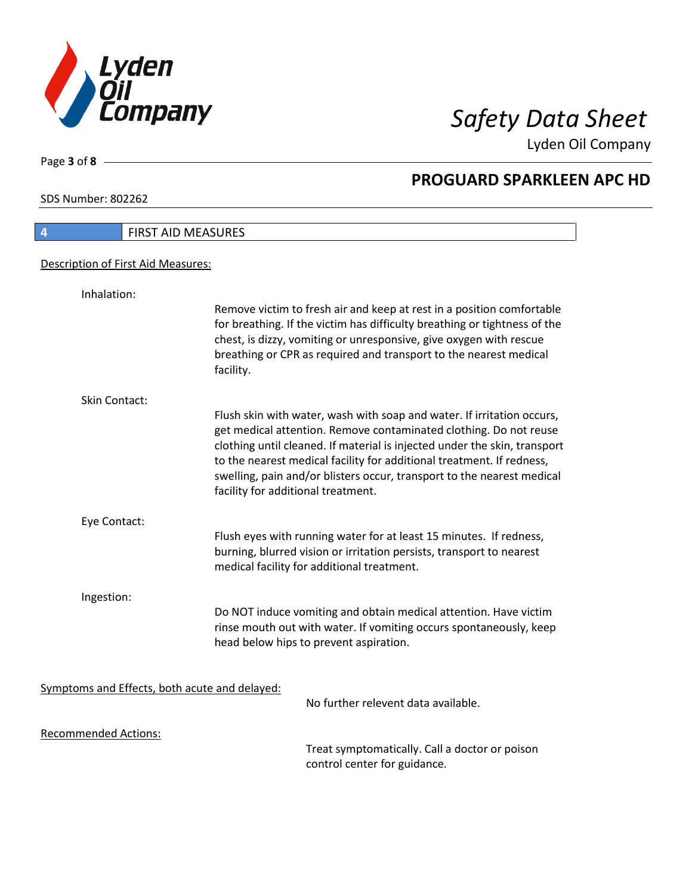

Lyden Oil Company

SDS Number: 802262

Page **3** of **8**

 $\mathbf l$ 

| $\overline{4}$                     | <b>FIRST AID MEASURES</b>                                                                                                                                                                                                                                                                                                                                                                                         |
|------------------------------------|-------------------------------------------------------------------------------------------------------------------------------------------------------------------------------------------------------------------------------------------------------------------------------------------------------------------------------------------------------------------------------------------------------------------|
| Description of First Aid Measures: |                                                                                                                                                                                                                                                                                                                                                                                                                   |
| Inhalation:                        |                                                                                                                                                                                                                                                                                                                                                                                                                   |
|                                    | Remove victim to fresh air and keep at rest in a position comfortable<br>for breathing. If the victim has difficulty breathing or tightness of the<br>chest, is dizzy, vomiting or unresponsive, give oxygen with rescue<br>breathing or CPR as required and transport to the nearest medical<br>facility.                                                                                                        |
| Skin Contact:                      |                                                                                                                                                                                                                                                                                                                                                                                                                   |
|                                    | Flush skin with water, wash with soap and water. If irritation occurs,<br>get medical attention. Remove contaminated clothing. Do not reuse<br>clothing until cleaned. If material is injected under the skin, transport<br>to the nearest medical facility for additional treatment. If redness,<br>swelling, pain and/or blisters occur, transport to the nearest medical<br>facility for additional treatment. |
| Eye Contact:                       |                                                                                                                                                                                                                                                                                                                                                                                                                   |
|                                    | Flush eyes with running water for at least 15 minutes. If redness,<br>burning, blurred vision or irritation persists, transport to nearest<br>medical facility for additional treatment.                                                                                                                                                                                                                          |
| Ingestion:                         |                                                                                                                                                                                                                                                                                                                                                                                                                   |
|                                    | Do NOT induce vomiting and obtain medical attention. Have victim<br>rinse mouth out with water. If vomiting occurs spontaneously, keep<br>head below hips to prevent aspiration.                                                                                                                                                                                                                                  |
|                                    |                                                                                                                                                                                                                                                                                                                                                                                                                   |
|                                    | Symptoms and Effects, both acute and delayed:<br>No further relevent data available.                                                                                                                                                                                                                                                                                                                              |
| <b>Recommended Actions:</b>        |                                                                                                                                                                                                                                                                                                                                                                                                                   |
|                                    | Treat symptomatically. Call a doctor or poison<br>control center for guidance.                                                                                                                                                                                                                                                                                                                                    |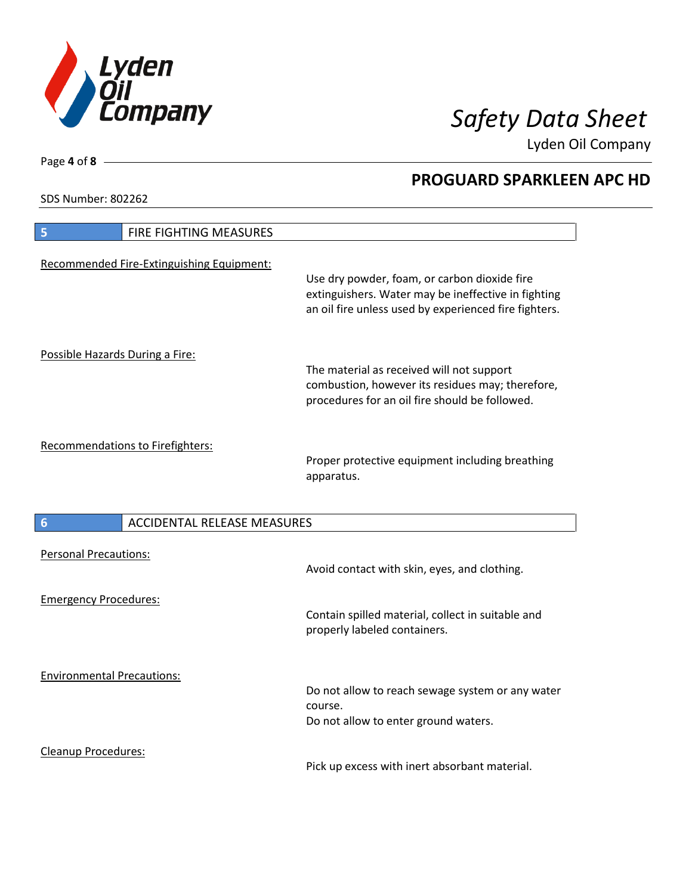

Lyden Oil Company

SDS Number: 802262

| FIRE FIGHTING MEASURES<br>5               |                                                                                                                                                              |
|-------------------------------------------|--------------------------------------------------------------------------------------------------------------------------------------------------------------|
| Recommended Fire-Extinguishing Equipment: | Use dry powder, foam, or carbon dioxide fire<br>extinguishers. Water may be ineffective in fighting<br>an oil fire unless used by experienced fire fighters. |
| Possible Hazards During a Fire:           | The material as received will not support<br>combustion, however its residues may; therefore,<br>procedures for an oil fire should be followed.              |
| Recommendations to Firefighters:          | Proper protective equipment including breathing<br>apparatus.                                                                                                |
| <b>ACCIDENTAL RELEASE MEASURES</b><br>6   |                                                                                                                                                              |
| <b>Personal Precautions:</b>              | Avoid contact with skin, eyes, and clothing.                                                                                                                 |
| <b>Emergency Procedures:</b>              |                                                                                                                                                              |
|                                           | Contain spilled material, collect in suitable and<br>properly labeled containers.                                                                            |
| <b>Environmental Precautions:</b>         | Do not allow to reach sewage system or any water<br>course.<br>Do not allow to enter ground waters.                                                          |

Page **4** of **8**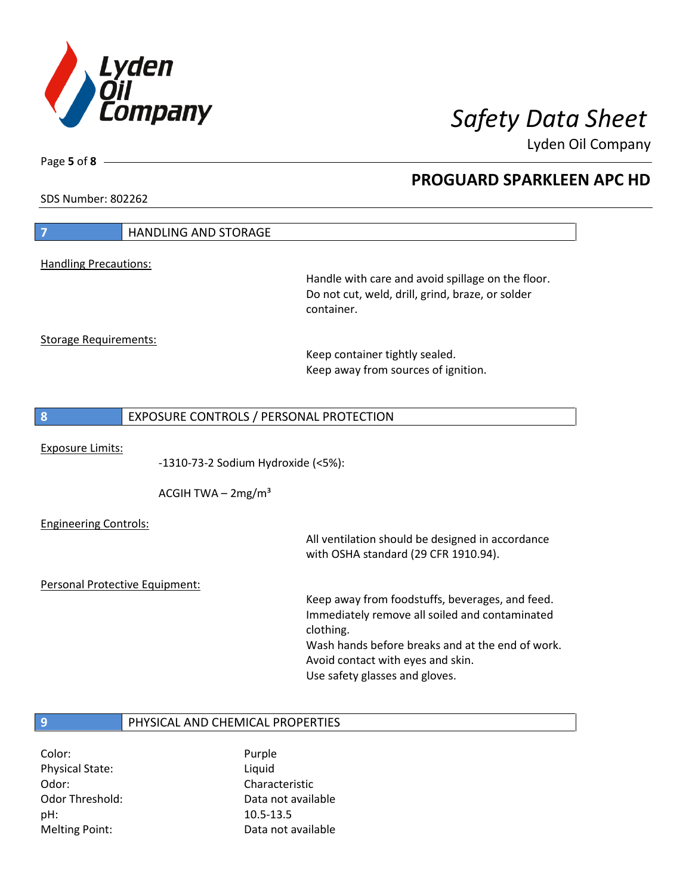

Lyden Oil Company

SDS Number: 802262

Page **5** of **8**

| $\overline{7}$                 | <b>HANDLING AND STORAGE</b>             |                                                   |
|--------------------------------|-----------------------------------------|---------------------------------------------------|
|                                |                                         |                                                   |
| <b>Handling Precautions:</b>   |                                         | Handle with care and avoid spillage on the floor. |
|                                |                                         | Do not cut, weld, drill, grind, braze, or solder  |
|                                |                                         | container.                                        |
|                                |                                         |                                                   |
| <b>Storage Requirements:</b>   |                                         |                                                   |
|                                |                                         | Keep container tightly sealed.                    |
|                                |                                         | Keep away from sources of ignition.               |
|                                |                                         |                                                   |
|                                |                                         |                                                   |
| 8                              | EXPOSURE CONTROLS / PERSONAL PROTECTION |                                                   |
| <b>Exposure Limits:</b>        |                                         |                                                   |
|                                | -1310-73-2 Sodium Hydroxide (<5%):      |                                                   |
|                                |                                         |                                                   |
|                                | ACGIH TWA $-2mg/m3$                     |                                                   |
|                                |                                         |                                                   |
| <b>Engineering Controls:</b>   |                                         | All ventilation should be designed in accordance  |
|                                |                                         | with OSHA standard (29 CFR 1910.94).              |
|                                |                                         |                                                   |
| Personal Protective Equipment: |                                         |                                                   |
|                                |                                         | Keep away from foodstuffs, beverages, and feed.   |
|                                |                                         | Immediately remove all soiled and contaminated    |
|                                |                                         | clothing.                                         |
|                                |                                         | Wash hands before breaks and at the end of work.  |
|                                |                                         | Avoid contact with eyes and skin.                 |
|                                |                                         | Use safety glasses and gloves.                    |
|                                |                                         |                                                   |
| 9                              | PHYSICAL AND CHEMICAL PROPERTIES        |                                                   |
|                                |                                         |                                                   |

Color: Purple Physical State: Liquid Odor: Characteristic pH: 10.5-13.5

Odor Threshold: Data not available Melting Point: Case Controller Muslim Data not available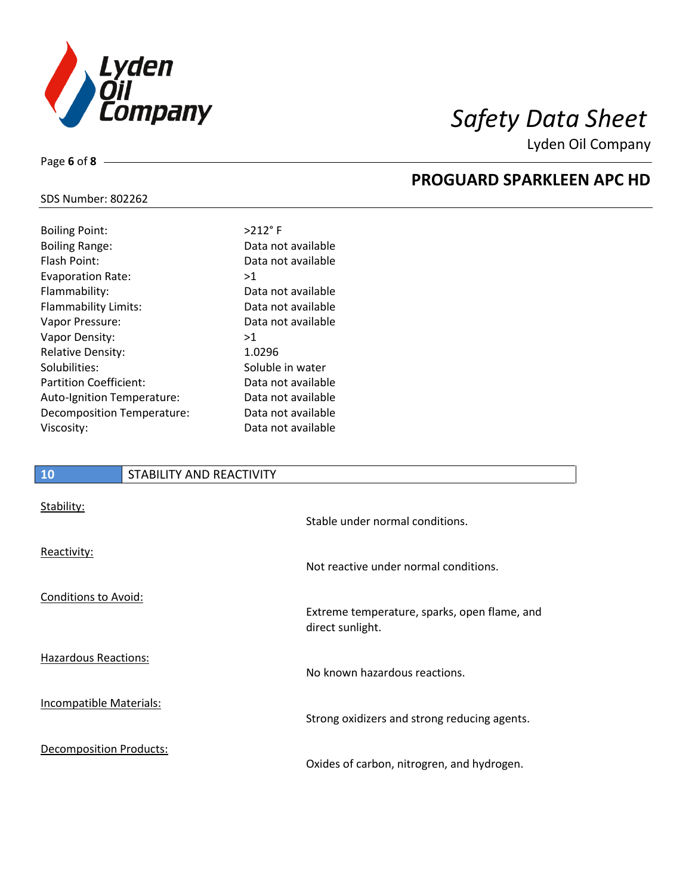

Lyden Oil Company

## SDS Number: 802262

Page **6** of **8**

| <b>Boiling Point:</b>         | $>212$ °F          |
|-------------------------------|--------------------|
| <b>Boiling Range:</b>         | Data not available |
| Flash Point:                  | Data not available |
| <b>Evaporation Rate:</b>      | >1                 |
| Flammability:                 | Data not available |
| Flammability Limits:          | Data not available |
| Vapor Pressure:               | Data not available |
| Vapor Density:                | >1                 |
| Relative Density:             | 1.0296             |
| Solubilities:                 | Soluble in water   |
| <b>Partition Coefficient:</b> | Data not available |
| Auto-Ignition Temperature:    | Data not available |
| Decomposition Temperature:    | Data not available |
| Viscosity:                    | Data not available |
|                               |                    |

## **10** STABILITY AND REACTIVITY

| Stability:                     | Stable under normal conditions.                                  |
|--------------------------------|------------------------------------------------------------------|
| Reactivity:                    | Not reactive under normal conditions.                            |
| Conditions to Avoid:           | Extreme temperature, sparks, open flame, and<br>direct sunlight. |
| <b>Hazardous Reactions:</b>    | No known hazardous reactions.                                    |
| Incompatible Materials:        | Strong oxidizers and strong reducing agents.                     |
| <b>Decomposition Products:</b> | Oxides of carbon, nitrogren, and hydrogen.                       |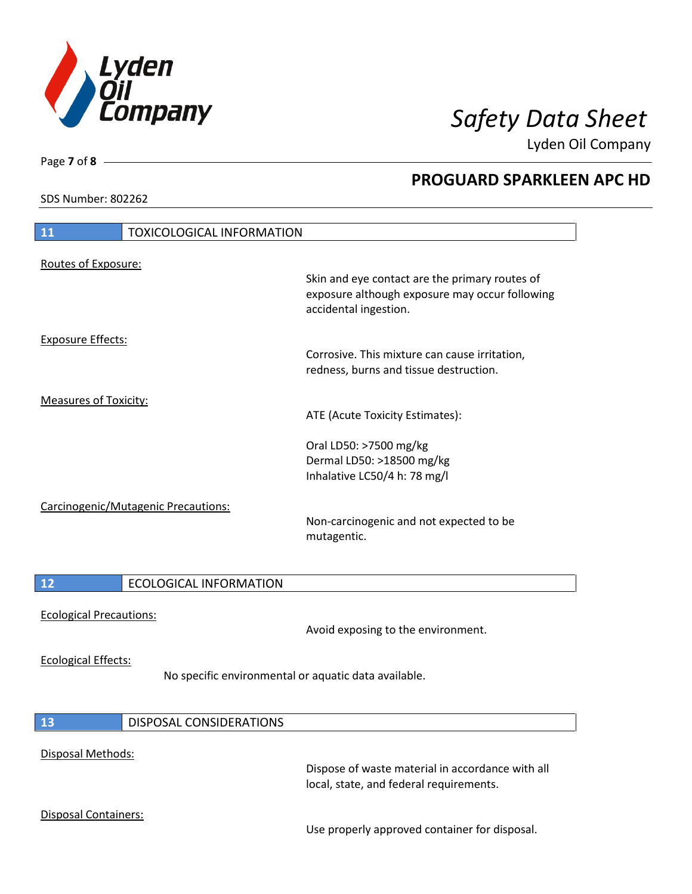

Lyden Oil Company

SDS Number: 802262

Page **7** of **8**

# **11** TOXICOLOGICAL INFORMATION Routes of Exposure: Skin and eye contact are the primary routes of exposure although exposure may occur following accidental ingestion. Exposure Effects: Corrosive. This mixture can cause irritation, redness, burns and tissue destruction. Measures of Toxicity: ATE (Acute Toxicity Estimates): Oral LD50: >7500 mg/kg Dermal LD50: >18500 mg/kg Inhalative LC50/4 h: 78 mg/l Carcinogenic/Mutagenic Precautions: Non-carcinogenic and not expected to be mutagentic. **12** ECOLOGICAL INFORMATION

# Ecological Precautions:

Avoid exposing to the environment.

Ecological Effects:

No specific environmental or aquatic data available.

## **13** DISPOSAL CONSIDERATIONS

### Disposal Methods:

Dispose of waste material in accordance with all local, state, and federal requirements.

## Disposal Containers:

Use properly approved container for disposal.